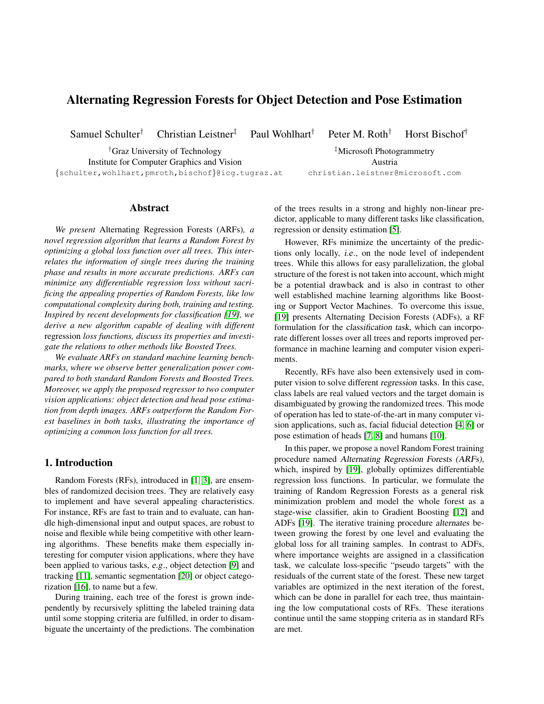# Alternating Regression Forests for Object Detection and Pose Estimation

Samuel Schulter<sup>†</sup> Christian Leistner<sup>‡</sup> Paul Wohlhart<sup>†</sup> Peter M. Roth<sup>†</sup> Horst Bischof<sup>†</sup>

†Graz University of Technology ‡Microsoft Photogrammetry Institute for Computer Graphics and Vision **Austria** {schulter,wohlhart,pmroth,bischof}@icg.tugraz.at christian.leistner@microsoft.com

*We present* Alternating Regression Forests (ARFs)*, a novel regression algorithm that learns a Random Forest by optimizing a global loss function over all trees. This interrelates the information of single trees during the training phase and results in more accurate predictions. ARFs can minimize any differentiable regression loss without sacrificing the appealing properties of Random Forests, like low computational complexity during both, training and testing. Inspired by recent developments for classification [\[19\]](#page-7-0), we derive a new algorithm capable of dealing with different* regression *loss functions, discuss its properties and investigate the relations to other methods like Boosted Trees.*

Abstract

*We evaluate ARFs on standard machine learning benchmarks, where we observe better generalization power compared to both standard Random Forests and Boosted Trees. Moreover, we apply the proposed regressor to two computer vision applications: object detection and head pose estimation from depth images. ARFs outperform the Random Forest baselines in both tasks, illustrating the importance of optimizing a common loss function for all trees.*

# 1. Introduction

Random Forests (RFs), introduced in [\[1,](#page-7-1) [3\]](#page-7-2), are ensembles of randomized decision trees. They are relatively easy to implement and have several appealing characteristics. For instance, RFs are fast to train and to evaluate, can handle high-dimensional input and output spaces, are robust to noise and flexible while being competitive with other learning algorithms. These benefits make them especially interesting for computer vision applications, where they have been applied to various tasks, e.g., object detection [\[9\]](#page-7-3) and tracking [\[11\]](#page-7-4), semantic segmentation [\[20\]](#page-7-5) or object categorization [\[16\]](#page-7-6), to name but a few.

During training, each tree of the forest is grown independently by recursively splitting the labeled training data until some stopping criteria are fulfilled, in order to disambiguate the uncertainty of the predictions. The combination of the trees results in a strong and highly non-linear predictor, applicable to many different tasks like classification, regression or density estimation [\[5\]](#page-7-7).

However, RFs minimize the uncertainty of the predictions only locally, i.e., on the node level of independent trees. While this allows for easy parallelization, the global structure of the forest is not taken into account, which might be a potential drawback and is also in contrast to other well established machine learning algorithms like Boosting or Support Vector Machines. To overcome this issue, [\[19\]](#page-7-0) presents Alternating Decision Forests (ADFs), a RF formulation for the classification task, which can incorporate different losses over all trees and reports improved performance in machine learning and computer vision experiments.

Recently, RFs have also been extensively used in computer vision to solve different regression tasks. In this case, class labels are real valued vectors and the target domain is disambiguated by growing the randomized trees. This mode of operation has led to state-of-the-art in many computer vision applications, such as, facial fiducial detection [\[4,](#page-7-8) [6\]](#page-7-9) or pose estimation of heads [\[7,](#page-7-10) [8\]](#page-7-11) and humans [\[10\]](#page-7-12).

In this paper, we propose a novel Random Forest training procedure named Alternating Regression Forests (ARFs), which, inspired by [\[19\]](#page-7-0), globally optimizes differentiable regression loss functions. In particular, we formulate the training of Random Regression Forests as a general risk minimization problem and model the whole forest as a stage-wise classifier, akin to Gradient Boosting [\[12\]](#page-7-13) and ADFs [\[19\]](#page-7-0). The iterative training procedure alternates between growing the forest by one level and evaluating the global loss for all training samples. In contrast to ADFs, where importance weights are assigned in a classification task, we calculate loss-specific "pseudo targets" with the residuals of the current state of the forest. These new target variables are optimized in the next iteration of the forest, which can be done in parallel for each tree, thus maintaining the low computational costs of RFs. These iterations continue until the same stopping criteria as in standard RFs are met.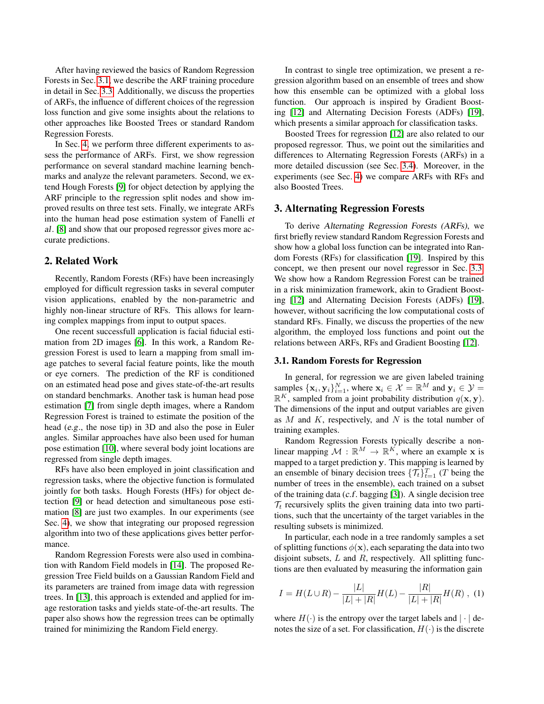After having reviewed the basics of Random Regression Forests in Sec. [3.1,](#page-1-0) we describe the ARF training procedure in detail in Sec. [3.3.](#page-2-0) Additionally, we discuss the properties of ARFs, the influence of different choices of the regression loss function and give some insights about the relations to other approaches like Boosted Trees or standard Random Regression Forests.

In Sec. [4,](#page-4-0) we perform three different experiments to assess the performance of ARFs. First, we show regression performance on several standard machine learning benchmarks and analyze the relevant parameters. Second, we extend Hough Forests [\[9\]](#page-7-3) for object detection by applying the ARF principle to the regression split nodes and show improved results on three test sets. Finally, we integrate ARFs into the human head pose estimation system of Fanelli et al. [\[8\]](#page-7-11) and show that our proposed regressor gives more accurate predictions.

#### 2. Related Work

Recently, Random Forests (RFs) have been increasingly employed for difficult regression tasks in several computer vision applications, enabled by the non-parametric and highly non-linear structure of RFs. This allows for learning complex mappings from input to output spaces.

One recent successfull application is facial fiducial estimation from 2D images [\[6\]](#page-7-9). In this work, a Random Regression Forest is used to learn a mapping from small image patches to several facial feature points, like the mouth or eye corners. The prediction of the RF is conditioned on an estimated head pose and gives state-of-the-art results on standard benchmarks. Another task is human head pose estimation [\[7\]](#page-7-10) from single depth images, where a Random Regression Forest is trained to estimate the position of the head (e.g., the nose tip) in 3D and also the pose in Euler angles. Similar approaches have also been used for human pose estimation [\[10\]](#page-7-12), where several body joint locations are regressed from single depth images.

RFs have also been employed in joint classification and regression tasks, where the objective function is formulated jointly for both tasks. Hough Forests (HFs) for object detection [\[9\]](#page-7-3) or head detection and simultaneous pose estimation [\[8\]](#page-7-11) are just two examples. In our experiments (see Sec. [4\)](#page-4-0), we show that integrating our proposed regression algorithm into two of these applications gives better performance.

Random Regression Forests were also used in combination with Random Field models in [\[14\]](#page-7-14). The proposed Regression Tree Field builds on a Gaussian Random Field and its parameters are trained from image data with regression trees. In [\[13\]](#page-7-15), this approach is extended and applied for image restoration tasks and yields state-of-the-art results. The paper also shows how the regression trees can be optimally trained for minimizing the Random Field energy.

In contrast to single tree optimization, we present a regression algorithm based on an ensemble of trees and show how this ensemble can be optimized with a global loss function. Our approach is inspired by Gradient Boosting [\[12\]](#page-7-13) and Alternating Decision Forests (ADFs) [\[19\]](#page-7-0), which presents a similar approach for classification tasks.

Boosted Trees for regression [\[12\]](#page-7-13) are also related to our proposed regressor. Thus, we point out the similarities and differences to Alternating Regression Forests (ARFs) in a more detailed discussion (see Sec. [3.4\)](#page-3-0). Moreover, in the experiments (see Sec. [4\)](#page-4-0) we compare ARFs with RFs and also Boosted Trees.

#### 3. Alternating Regression Forests

To derive Alternating Regression Forests (ARFs), we first briefly review standard Random Regression Forests and show how a global loss function can be integrated into Random Forests (RFs) for classification [\[19\]](#page-7-0). Inspired by this concept, we then present our novel regressor in Sec. [3.3.](#page-2-0) We show how a Random Regression Forest can be trained in a risk minimization framework, akin to Gradient Boosting [\[12\]](#page-7-13) and Alternating Decision Forests (ADFs) [\[19\]](#page-7-0), however, without sacrificing the low computational costs of standard RFs. Finally, we discuss the properties of the new algorithm, the employed loss functions and point out the relations between ARFs, RFs and Gradient Boosting [\[12\]](#page-7-13).

#### <span id="page-1-0"></span>3.1. Random Forests for Regression

In general, for regression we are given labeled training samples  $\{x_i, y_i\}_{i=1}^N$ , where  $x_i \in \mathcal{X} = \mathbb{R}^M$  and  $y_i \in \mathcal{Y} =$  $\mathbb{R}^K$ , sampled from a joint probability distribution  $q(\mathbf{x}, \mathbf{y})$ . The dimensions of the input and output variables are given as  $M$  and  $K$ , respectively, and  $N$  is the total number of training examples.

Random Regression Forests typically describe a nonlinear mapping  $\mathcal{M} : \mathbb{R}^M \to \mathbb{R}^K$ , where an example x is mapped to a target prediction y. This mapping is learned by an ensemble of binary decision trees  $\{\mathcal{T}_t\}_{t=1}^T$  (T being the number of trees in the ensemble), each trained on a subset of the training data (c.f. bagging [\[3\]](#page-7-2)). A single decision tree  $\mathcal{T}_t$  recursively splits the given training data into two partitions, such that the uncertainty of the target variables in the resulting subsets is minimized.

In particular, each node in a tree randomly samples a set of splitting functions  $\phi(\mathbf{x})$ , each separating the data into two disjoint subsets,  $L$  and  $R$ , respectively. All splitting functions are then evaluated by measuring the information gain

<span id="page-1-1"></span>
$$
I = H(L \cup R) - \frac{|L|}{|L| + |R|} H(L) - \frac{|R|}{|L| + |R|} H(R) , (1)
$$

where  $H(\cdot)$  is the entropy over the target labels and  $|\cdot|$  denotes the size of a set. For classification,  $H(\cdot)$  is the discrete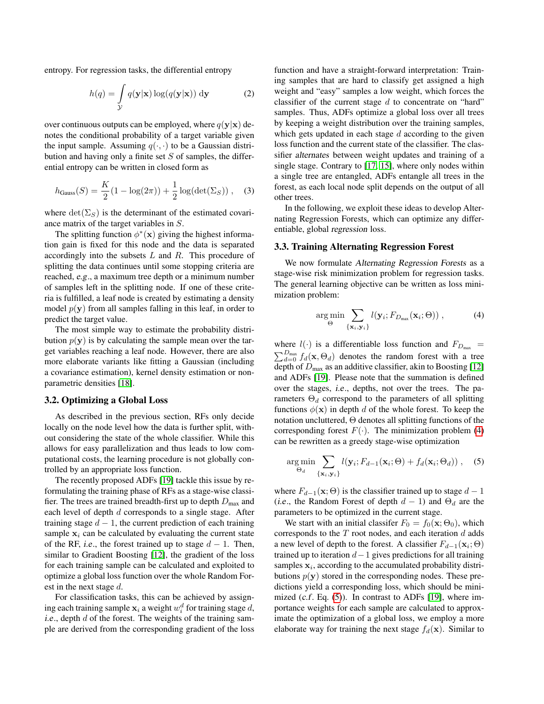entropy. For regression tasks, the differential entropy

$$
h(q) = \int_{\mathcal{Y}} q(\mathbf{y}|\mathbf{x}) \log(q(\mathbf{y}|\mathbf{x})) \, \mathrm{d}\mathbf{y}
$$
 (2)

over continuous outputs can be employed, where  $q(y|x)$  denotes the conditional probability of a target variable given the input sample. Assuming  $q(\cdot, \cdot)$  to be a Gaussian distribution and having only a finite set  $S$  of samples, the differential entropy can be written in closed form as

$$
h_{\text{Gauss}}(S) = \frac{K}{2}(1 - \log(2\pi)) + \frac{1}{2}\log(\det(\Sigma_S)), \quad (3)
$$

where  $\det(\Sigma_S)$  is the determinant of the estimated covariance matrix of the target variables in S.

The splitting function  $\phi^*(\mathbf{x})$  giving the highest information gain is fixed for this node and the data is separated accordingly into the subsets  $L$  and  $R$ . This procedure of splitting the data continues until some stopping criteria are reached, e.g., a maximum tree depth or a minimum number of samples left in the splitting node. If one of these criteria is fulfilled, a leaf node is created by estimating a density model  $p(y)$  from all samples falling in this leaf, in order to predict the target value.

The most simple way to estimate the probability distribution  $p(y)$  is by calculating the sample mean over the target variables reaching a leaf node. However, there are also more elaborate variants like fitting a Gaussian (including a covariance estimation), kernel density estimation or nonparametric densities [\[18\]](#page-7-16).

#### 3.2. Optimizing a Global Loss

As described in the previous section, RFs only decide locally on the node level how the data is further split, without considering the state of the whole classifier. While this allows for easy parallelization and thus leads to low computational costs, the learning procedure is not globally controlled by an appropriate loss function.

The recently proposed ADFs [\[19\]](#page-7-0) tackle this issue by reformulating the training phase of RFs as a stage-wise classifier. The trees are trained breadth-first up to depth  $D_{\text{max}}$  and each level of depth  $d$  corresponds to a single stage. After training stage  $d - 1$ , the current prediction of each training sample  $x_i$  can be calculated by evaluating the current state of the RF, *i.e.*, the forest trained up to stage  $d - 1$ . Then, similar to Gradient Boosting [\[12\]](#page-7-13), the gradient of the loss for each training sample can be calculated and exploited to optimize a global loss function over the whole Random Forest in the next stage d.

For classification tasks, this can be achieved by assigning each training sample  $x_i$  a weight  $w_i^d$  for training stage d, *i.e.*, depth  $d$  of the forest. The weights of the training sample are derived from the corresponding gradient of the loss function and have a straight-forward interpretation: Training samples that are hard to classify get assigned a high weight and "easy" samples a low weight, which forces the classifier of the current stage  $d$  to concentrate on "hard" samples. Thus, ADFs optimize a global loss over all trees by keeping a weight distribution over the training samples, which gets updated in each stage  $d$  according to the given loss function and the current state of the classifier. The classifier alternates between weight updates and training of a single stage. Contrary to [\[17,](#page-7-17) [15\]](#page-7-18), where only nodes within a single tree are entangled, ADFs entangle all trees in the forest, as each local node split depends on the output of all other trees.

In the following, we exploit these ideas to develop Alternating Regression Forests, which can optimize any differentiable, global regression loss.

#### <span id="page-2-0"></span>3.3. Training Alternating Regression Forest

We now formulate Alternating Regression Forests as a stage-wise risk minimization problem for regression tasks. The general learning objective can be written as loss minimization problem:

<span id="page-2-1"></span>
$$
\arg\min_{\Theta} \sum_{\{\mathbf{x}_i, \mathbf{y}_i\}} l(\mathbf{y}_i; F_{D_{\max}}(\mathbf{x}_i; \Theta)) ,\tag{4}
$$

where  $l(\cdot)$  is a differentiable loss function and  $F_{D_{\text{max}}}$  =  $\sum_{d=0}^{D_{\text{max}}} f_d(\mathbf{x}, \Theta_d)$  denotes the random forest with a tree depth of  $D_{\text{max}}$  as an additive classifier, akin to Boosting [\[12\]](#page-7-13) and ADFs [\[19\]](#page-7-0). Please note that the summation is defined over the stages, i.e., depths, not over the trees. The parameters  $\Theta_d$  correspond to the parameters of all splitting functions  $\phi(\mathbf{x})$  in depth d of the whole forest. To keep the notation uncluttered, Θ denotes all splitting functions of the corresponding forest  $F(\cdot)$ . The minimization problem [\(4\)](#page-2-1) can be rewritten as a greedy stage-wise optimization

<span id="page-2-2"></span>
$$
\underset{\Theta_d}{\arg\min} \sum_{\{\mathbf{x}_i, \mathbf{y}_i\}} l(\mathbf{y}_i; F_{d-1}(\mathbf{x}_i; \Theta) + f_d(\mathbf{x}_i; \Theta_d)), \quad (5)
$$

where  $F_{d-1}(\mathbf{x}; \Theta)$  is the classifier trained up to stage  $d-1$ (i.e., the Random Forest of depth  $d-1$ ) and  $\Theta_d$  are the parameters to be optimized in the current stage.

We start with an initial classifer  $F_0 = f_0(\mathbf{x}; \Theta_0)$ , which corresponds to the  $T$  root nodes, and each iteration  $d$  adds a new level of depth to the forest. A classifier  $F_{d-1}(\mathbf{x}_i;\Theta)$ trained up to iteration  $d-1$  gives predictions for all training samples  $x_i$ , according to the accumulated probability distributions  $p(y)$  stored in the corresponding nodes. These predictions yield a corresponding loss, which should be minimized  $(c.f. Eq. (5))$  $(c.f. Eq. (5))$  $(c.f. Eq. (5))$ . In contrast to ADFs [\[19\]](#page-7-0), where importance weights for each sample are calculated to approximate the optimization of a global loss, we employ a more elaborate way for training the next stage  $f_d(\mathbf{x})$ . Similar to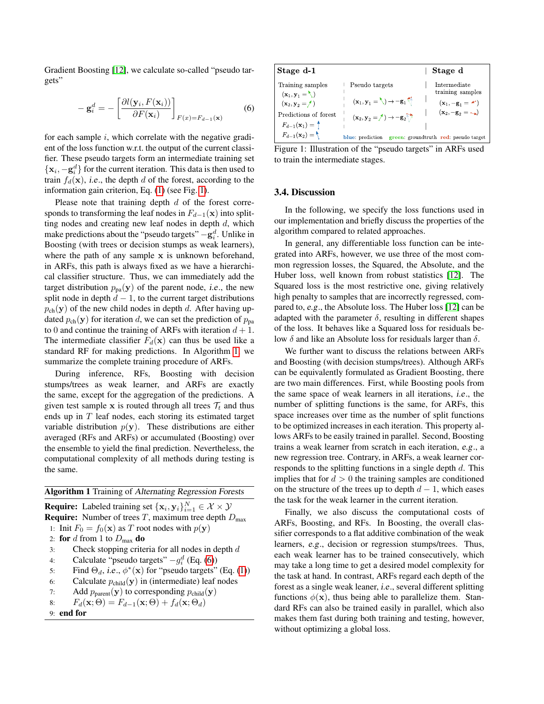Gradient Boosting [\[12\]](#page-7-13), we calculate so-called "pseudo targets"

<span id="page-3-3"></span>
$$
-\mathbf{g}_i^d = -\left[\frac{\partial l(\mathbf{y}_i, F(\mathbf{x}_i))}{\partial F(\mathbf{x}_i)}\right]_{F(x) = F_{d-1}(\mathbf{x})}
$$
(6)

for each sample  $i$ , which correlate with the negative gradient of the loss function w.r.t. the output of the current classifier. These pseudo targets form an intermediate training set  $\{x_i, -g_i^d\}$  for the current iteration. This data is then used to train  $f_d(\mathbf{x})$ , *i.e.*, the depth d of the forest, according to the information gain criterion, Eq. [\(1\)](#page-1-1) (see Fig. [1\)](#page-3-1).

Please note that training depth  $d$  of the forest corresponds to transforming the leaf nodes in  $F_{d-1}(\mathbf{x})$  into splitting nodes and creating new leaf nodes in depth  $d$ , which make predictions about the "pseudo targets"  $-\mathbf{g}_i^d$ . Unlike in Boosting (with trees or decision stumps as weak learners), where the path of any sample x is unknown beforehand, in ARFs, this path is always fixed as we have a hierarchical classifier structure. Thus, we can immediately add the target distribution  $p_{pa}(\mathbf{y})$  of the parent node, *i.e.*, the new split node in depth  $d-1$ , to the current target distributions  $p_{ch}(\mathbf{y})$  of the new child nodes in depth d. After having updated  $p_{ch}(\mathbf{y})$  for iteration d, we can set the prediction of  $p_{pa}$ to 0 and continue the training of ARFs with iteration  $d + 1$ . The intermediate classifier  $F_d(\mathbf{x})$  can thus be used like a standard RF for making predictions. In Algorithm [1,](#page-3-2) we summarize the complete training procedure of ARFs.

During inference, RFs, Boosting with decision stumps/trees as weak learner, and ARFs are exactly the same, except for the aggregation of the predictions. A given test sample x is routed through all trees  $\mathcal{T}_t$  and thus ends up in T leaf nodes, each storing its estimated target variable distribution  $p(y)$ . These distributions are either averaged (RFs and ARFs) or accumulated (Boosting) over the ensemble to yield the final prediction. Nevertheless, the computational complexity of all methods during testing is the same.

<span id="page-3-2"></span>

| <b>Algorithm 1</b> Training of Alternating Regression Forests                                                |  |  |  |  |  |
|--------------------------------------------------------------------------------------------------------------|--|--|--|--|--|
| <b>Require:</b> Labeled training set $\{\mathbf x_i, \mathbf y_i\}_{i=1}^N \in \mathcal X \times \mathcal Y$ |  |  |  |  |  |
| <b>Require:</b> Number of trees T, maximum tree depth $D_{\text{max}}$                                       |  |  |  |  |  |
| 1: Init $F_0 = f_0(\mathbf{x})$ as T root nodes with $p(\mathbf{y})$                                         |  |  |  |  |  |
| 2: for d from 1 to $D_{\text{max}}$ do                                                                       |  |  |  |  |  |
| Check stopping criteria for all nodes in depth $d$<br>3:                                                     |  |  |  |  |  |
| Calculate "pseudo targets" $-q_i^d$ (Eq. (6))<br>4:                                                          |  |  |  |  |  |
| Find $\Theta_d$ , i.e., $\phi^*(\mathbf{x})$ for "pseudo targets" (Eq. (1))<br>5:                            |  |  |  |  |  |
| Calculate $p_{child}(\mathbf{y})$ in (intermediate) leaf nodes<br>6:                                         |  |  |  |  |  |
| Add $p_{\text{parent}}(\mathbf{y})$ to corresponding $p_{\text{child}}(\mathbf{y})$<br>7:                    |  |  |  |  |  |
| $F_d(\mathbf{x};\Theta) = F_{d-1}(\mathbf{x};\Theta) + f_d(\mathbf{x};\Theta_d)$<br>8:                       |  |  |  |  |  |
|                                                                                                              |  |  |  |  |  |



<span id="page-3-1"></span>

Figure 1: Illustration of the "pseudo targets" in ARFs used to train the intermediate stages.

#### <span id="page-3-0"></span>3.4. Discussion

In the following, we specify the loss functions used in our implementation and briefly discuss the properties of the algorithm compared to related approaches.

In general, any differentiable loss function can be integrated into ARFs, however, we use three of the most common regression losses, the Squared, the Absolute, and the Huber loss, well known from robust statistics [\[12\]](#page-7-13). The Squared loss is the most restrictive one, giving relatively high penalty to samples that are incorrectly regressed, compared to, e.g., the Absolute loss. The Huber loss [\[12\]](#page-7-13) can be adapted with the parameter  $\delta$ , resulting in different shapes of the loss. It behaves like a Squared loss for residuals below δ and like an Absolute loss for residuals larger than δ.

We further want to discuss the relations between ARFs and Boosting (with decision stumps/trees). Although ARFs can be equivalently formulated as Gradient Boosting, there are two main differences. First, while Boosting pools from the same space of weak learners in all iterations, i.e., the number of splitting functions is the same, for ARFs, this space increases over time as the number of split functions to be optimized increases in each iteration. This property allows ARFs to be easily trained in parallel. Second, Boosting trains a weak learner from scratch in each iteration, e.g., a new regression tree. Contrary, in ARFs, a weak learner corresponds to the splitting functions in a single depth  $d$ . This implies that for  $d > 0$  the training samples are conditioned on the structure of the trees up to depth  $d-1$ , which eases the task for the weak learner in the current iteration.

Finally, we also discuss the computational costs of ARFs, Boosting, and RFs. In Boosting, the overall classifier corresponds to a flat additive combination of the weak learners, e.g., decision or regression stumps/trees. Thus, each weak learner has to be trained consecutively, which may take a long time to get a desired model complexity for the task at hand. In contrast, ARFs regard each depth of the forest as a single weak leaner, i.e., several different splitting functions  $\phi(\mathbf{x})$ , thus being able to parallelize them. Standard RFs can also be trained easily in parallel, which also makes them fast during both training and testing, however, without optimizing a global loss.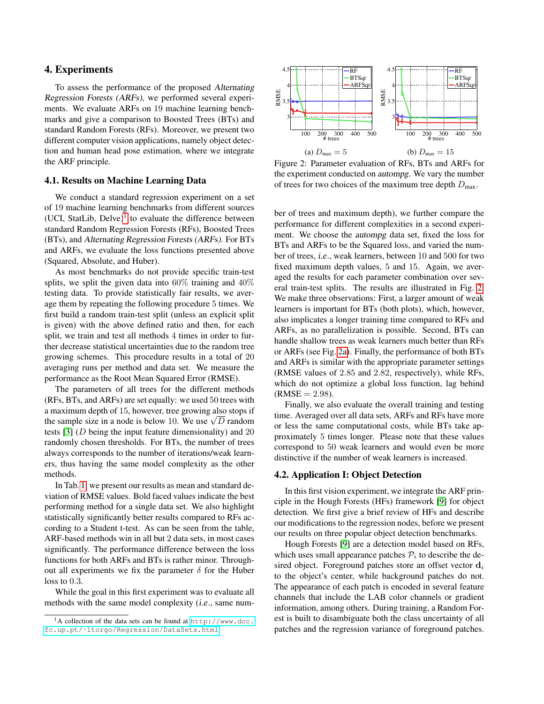## <span id="page-4-0"></span>4. Experiments

To assess the performance of the proposed Alternating Regression Forests (ARFs), we performed several experiments. We evaluate ARFs on 19 machine learning benchmarks and give a comparison to Boosted Trees (BTs) and standard Random Forests (RFs). Moreover, we present two different computer vision applications, namely object detection and human head pose estimation, where we integrate the ARF principle.

#### 4.1. Results on Machine Learning Data

We conduct a standard regression experiment on a set of 19 machine learning benchmarks from different sources (UCI, StatLib, Delve)<sup>[1](#page-4-1)</sup> to evaluate the difference between standard Random Regression Forests (RFs), Boosted Trees (BTs), and Alternating Regression Forests (ARFs). For BTs and ARFs, we evaluate the loss functions presented above (Squared, Absolute, and Huber).

As most benchmarks do not provide specific train-test splits, we split the given data into  $60\%$  training and  $40\%$ testing data. To provide statistically fair results, we average them by repeating the following procedure 5 times. We first build a random train-test split (unless an explicit split is given) with the above defined ratio and then, for each split, we train and test all methods 4 times in order to further decrease statistical uncertainties due to the random tree growing schemes. This procedure results in a total of 20 averaging runs per method and data set. We measure the performance as the Root Mean Squared Error (RMSE).

The parameters of all trees for the different methods (RFs, BTs, and ARFs) are set equally: we used 50 trees with a maximum depth of 15, however, tree growing also stops if a maximum depth of 15, however, tree growing also stops if<br>the sample size in a node is below 10. We use  $\sqrt{D}$  random tests [\[3\]](#page-7-2) (D being the input feature dimensionality) and 20 randomly chosen thresholds. For BTs, the number of trees always corresponds to the number of iterations/weak learners, thus having the same model complexity as the other methods.

In Tab. [1,](#page-5-0) we present our results as mean and standard deviation of RMSE values. Bold faced values indicate the best performing method for a single data set. We also highlight statistically significantly better results compared to RFs according to a Student t-test. As can be seen from the table, ARF-based methods win in all but 2 data sets, in most cases significantly. The performance difference between the loss functions for both ARFs and BTs is rather minor. Throughout all experiments we fix the parameter  $\delta$  for the Huber loss to 0.3.

While the goal in this first experiment was to evaluate all methods with the same model complexity (i.e., same num-

<span id="page-4-2"></span>

Figure 2: Parameter evaluation of RFs, BTs and ARFs for the experiment conducted on autompg. We vary the number of trees for two choices of the maximum tree depth  $D_{\text{max}}$ .

ber of trees and maximum depth), we further compare the performance for different complexities in a second experiment. We choose the autompg data set, fixed the loss for BTs and ARFs to be the Squared loss, and varied the number of trees, i.e., weak learners, between 10 and 500 for two fixed maximum depth values, 5 and 15. Again, we averaged the results for each parameter combination over several train-test splits. The results are illustrated in Fig. [2.](#page-4-2) We make three observations: First, a larger amount of weak learners is important for BTs (both plots), which, however, also implicates a longer training time compared to RFs and ARFs, as no parallelization is possible. Second, BTs can handle shallow trees as weak learners much better than RFs or ARFs (see Fig. [2a\)](#page-4-2). Finally, the performance of both BTs and ARFs is similar with the appropriate parameter settings (RMSE values of 2.85 and 2.82, respectively), while RFs, which do not optimize a global loss function, lag behind  $(RMSE = 2.98)$ .

Finally, we also evaluate the overall training and testing time. Averaged over all data sets, ARFs and RFs have more or less the same computational costs, while BTs take approximately 5 times longer. Please note that these values correspond to 50 weak learners and would even be more distinctive if the number of weak learners is increased.

### <span id="page-4-3"></span>4.2. Application I: Object Detection

In this first vision experiment, we integrate the ARF principle in the Hough Forests (HFs) framework [\[9\]](#page-7-3) for object detection. We first give a brief review of HFs and describe our modifications to the regression nodes, before we present our results on three popular object detection benchmarks.

Hough Forests [\[9\]](#page-7-3) are a detection model based on RFs, which uses small appearance patches  $P_i$  to describe the desired object. Foreground patches store an offset vector  $\mathbf{d}_i$ to the object's center, while background patches do not. The appearance of each patch is encoded in several feature channels that include the LAB color channels or gradient information, among others. During training, a Random Forest is built to disambiguate both the class uncertainty of all patches and the regression variance of foreground patches.

<span id="page-4-1"></span><sup>1</sup>A collection of the data sets can be found at [http://www.dcc.](http://www.dcc.fc.up.pt/~ltorgo/Regression/DataSets.html) [fc.up.pt/˜ltorgo/Regression/DataSets.html](http://www.dcc.fc.up.pt/~ltorgo/Regression/DataSets.html)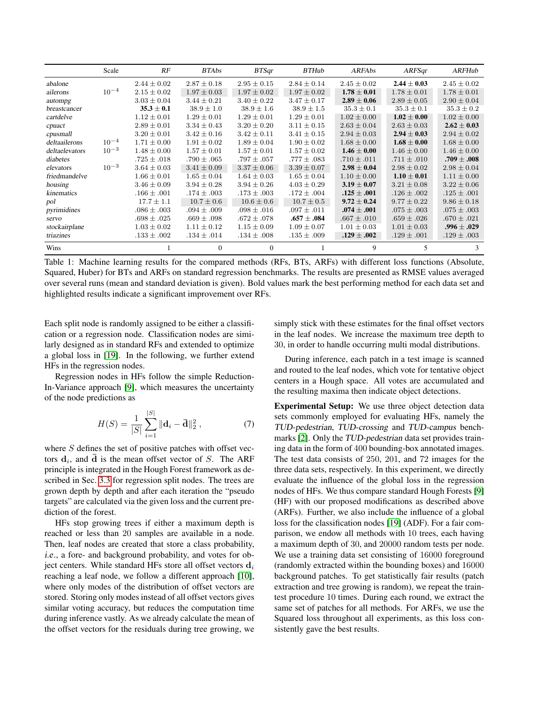<span id="page-5-0"></span>

|                | Scale     | RF              | <b>BTAbs</b>    | <b>BTSqr</b>    | <b>BTHub</b>    | ARFAbs          | ARFSqr          | ARFHub          |
|----------------|-----------|-----------------|-----------------|-----------------|-----------------|-----------------|-----------------|-----------------|
| abalone        |           | $2.44 \pm 0.02$ | $2.87 \pm 0.18$ | $2.95 \pm 0.15$ | $2.84 \pm 0.14$ | $2.45 \pm 0.02$ | $2.44 \pm 0.03$ | $2.45 \pm 0.02$ |
| ailerons       | $10^{-4}$ | $2.15 \pm 0.02$ | $1.97 \pm 0.03$ | $1.97 \pm 0.02$ | $1.97 \pm 0.02$ | $1.78 \pm 0.01$ | $1.78 \pm 0.01$ | $1.78 \pm 0.01$ |
| autompg        |           | $3.03 \pm 0.04$ | $3.44 \pm 0.21$ | $3.40 \pm 0.22$ | $3.47 \pm 0.17$ | $2.89 \pm 0.06$ | $2.89 \pm 0.05$ | $2.90 \pm 0.04$ |
| breastcancer   |           | $35.3 \pm 0.1$  | $38.9 \pm 1.0$  | $38.9 \pm 1.6$  | $38.9 \pm 1.5$  | $35.3 \pm 0.1$  | $35.3 \pm 0.1$  | $35.3 \pm 0.2$  |
| cartdelve      |           | $1.12 \pm 0.01$ | $1.29 \pm 0.01$ | $1.29 \pm 0.01$ | $1.29 \pm 0.01$ | $1.02 \pm 0.00$ | $1.02 \pm 0.00$ | $1.02 \pm 0.00$ |
| cpuact         |           | $2.89 \pm 0.01$ | $3.34 \pm 0.43$ | $3.20 \pm 0.20$ | $3.11 \pm 0.15$ | $2.63 \pm 0.04$ | $2.63 \pm 0.03$ | $2.62 \pm 0.03$ |
| cpusmall       |           | $3.20 \pm 0.01$ | $3.42 \pm 0.16$ | $3.42 \pm 0.11$ | $3.41 \pm 0.15$ | $2.94 \pm 0.03$ | $2.94 \pm 0.03$ | $2.94 \pm 0.02$ |
| deltaailerons  | $10^{-4}$ | $1.71 \pm 0.00$ | $1.91 \pm 0.02$ | $1.89 \pm 0.04$ | $1.90 \pm 0.02$ | $1.68 \pm 0.00$ | $1.68\pm0.00$   | $1.68 \pm 0.00$ |
| deltaelevators | $10^{-3}$ | $1.48 \pm 0.00$ | $1.57 \pm 0.01$ | $1.57 \pm 0.01$ | $1.57 \pm 0.02$ | $1.46 \pm 0.00$ | $1.46 \pm 0.00$ | $1.46 \pm 0.00$ |
| diabetes       |           | $.725 \pm .018$ | $.790 \pm .065$ | $.797 \pm .057$ | $.777\pm.083$   | $.710 \pm .011$ | $.711 \pm .010$ | $.709\pm.008$   |
| elevators      | $10^{-3}$ | $3.64 \pm 0.03$ | $3.41 \pm 0.09$ | $3.37 \pm 0.06$ | $3.39 \pm 0.07$ | $2.98 \pm 0.04$ | $2.98 \pm 0.02$ | $2.98 \pm 0.04$ |
| friedmandelve  |           | $1.66 \pm 0.01$ | $1.65 \pm 0.04$ | $1.64 \pm 0.03$ | $1.65 \pm 0.04$ | $1.10 \pm 0.00$ | $1.10 \pm 0.01$ | $1.11 \pm 0.00$ |
| housing        |           | $3.46 \pm 0.09$ | $3.94 \pm 0.28$ | $3.94 \pm 0.26$ | $4.03 \pm 0.29$ | $3.19 \pm 0.07$ | $3.21 \pm 0.08$ | $3.22 \pm 0.06$ |
| kinematics     |           | $.166 \pm .001$ | $.174 \pm .003$ | $.173 \pm .003$ | $.172 \pm .004$ | $.125\pm.001$   | $.126 \pm .002$ | $.125 \pm .001$ |
| pol            |           | $17.7 \pm 1.1$  | $10.7 \pm 0.6$  | $10.6 \pm 0.6$  | $10.7 \pm 0.5$  | $9.72 \pm 0.24$ | $9.77 \pm 0.22$ | $9.86 \pm 0.18$ |
| pyrimidines    |           | $.086 \pm .003$ | $.094 \pm .009$ | $.098 \pm .016$ | $.097 \pm .011$ | $.074\pm.001$   | $.075 \pm .003$ | $.075 \pm .003$ |
| servo          |           | $.698 \pm .025$ | $.669 \pm .098$ | $.672 \pm .078$ | $.657\pm.084$   | $.667 \pm .010$ | $.659 \pm .026$ | $.670 \pm .021$ |
| stockairplane  |           | $1.03 \pm 0.02$ | $1.11 \pm 0.12$ | $1.15 \pm 0.09$ | $1.09 \pm 0.07$ | $1.01 \pm 0.03$ | $1.01 \pm 0.03$ | $.996 \pm .029$ |
| triazines      |           | $.133 \pm .002$ | $.134 \pm .014$ | $.134 \pm .008$ | $.135 \pm .009$ | $.129 \pm .002$ | $.129 \pm .001$ | $.129 \pm .003$ |
| Wins           |           |                 | $\Omega$        | $\Omega$        |                 | 9               | 5               | 3               |

Table 1: Machine learning results for the compared methods (RFs, BTs, ARFs) with different loss functions (Absolute, Squared, Huber) for BTs and ARFs on standard regression benchmarks. The results are presented as RMSE values averaged over several runs (mean and standard deviation is given). Bold values mark the best performing method for each data set and highlighted results indicate a significant improvement over RFs.

Each split node is randomly assigned to be either a classification or a regression node. Classification nodes are similarly designed as in standard RFs and extended to optimize a global loss in [\[19\]](#page-7-0). In the following, we further extend HFs in the regression nodes.

Regression nodes in HFs follow the simple Reduction-In-Variance approach [\[9\]](#page-7-3), which measures the uncertainty of the node predictions as

$$
H(S) = \frac{1}{|S|} \sum_{i=1}^{|S|} ||\mathbf{d}_i - \bar{\mathbf{d}}||_2^2 , \qquad (7)
$$

where  $S$  defines the set of positive patches with offset vectors  $\mathbf{d}_i$ , and  $\overline{\mathbf{d}}$  is the mean offset vector of S. The ARF principle is integrated in the Hough Forest framework as described in Sec. [3.3](#page-2-0) for regression split nodes. The trees are grown depth by depth and after each iteration the "pseudo targets" are calculated via the given loss and the current prediction of the forest.

HFs stop growing trees if either a maximum depth is reached or less than 20 samples are available in a node. Then, leaf nodes are created that store a class probability, i.e., a fore- and background probability, and votes for object centers. While standard HFs store all offset vectors  $\mathbf{d}_i$ reaching a leaf node, we follow a different approach [\[10\]](#page-7-12), where only modes of the distribution of offset vectors are stored. Storing only modes instead of all offset vectors gives similar voting accuracy, but reduces the computation time during inference vastly. As we already calculate the mean of the offset vectors for the residuals during tree growing, we

simply stick with these estimates for the final offset vectors in the leaf nodes. We increase the maximum tree depth to 30, in order to handle occurring multi modal distributions.

During inference, each patch in a test image is scanned and routed to the leaf nodes, which vote for tentative object centers in a Hough space. All votes are accumulated and the resulting maxima then indicate object detections.

Experimental Setup: We use three object detection data sets commonly employed for evaluating HFs, namely the TUD-pedestrian, TUD-crossing and TUD-campus benchmarks [\[2\]](#page-7-19). Only the TUD-pedestrian data set provides training data in the form of 400 bounding-box annotated images. The test data consists of 250, 201, and 72 images for the three data sets, respectively. In this experiment, we directly evaluate the influence of the global loss in the regression nodes of HFs. We thus compare standard Hough Forests [\[9\]](#page-7-3) (HF) with our proposed modifications as described above (ARFs). Further, we also include the influence of a global loss for the classification nodes [\[19\]](#page-7-0) (ADF). For a fair comparison, we endow all methods with 10 trees, each having a maximum depth of 30, and 20000 random tests per node. We use a training data set consisting of 16000 foreground (randomly extracted within the bounding boxes) and 16000 background patches. To get statistically fair results (patch extraction and tree growing is random), we repeat the traintest procedure 10 times. During each round, we extract the same set of patches for all methods. For ARFs, we use the Squared loss throughout all experiments, as this loss consistently gave the best results.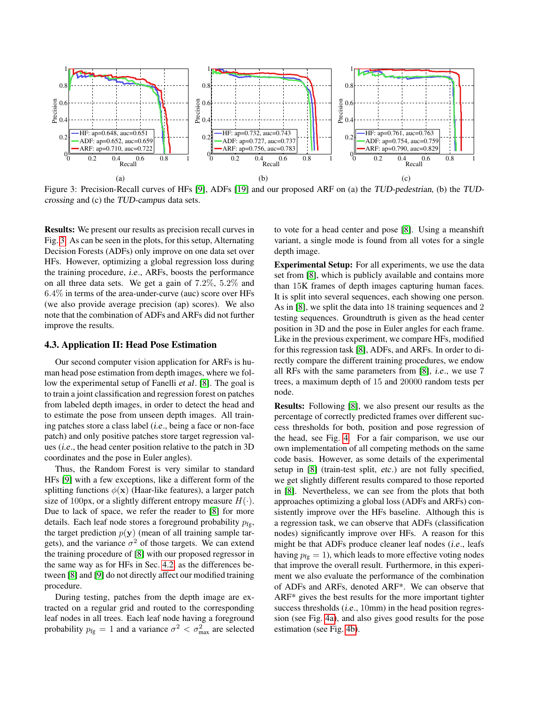<span id="page-6-0"></span>

Figure 3: Precision-Recall curves of HFs [\[9\]](#page-7-3), ADFs [\[19\]](#page-7-0) and our proposed ARF on (a) the TUD-pedestrian, (b) the TUDcrossing and (c) the TUD-campus data sets.

Results: We present our results as precision recall curves in Fig. [3.](#page-6-0) As can be seen in the plots, for this setup, Alternating Decision Forests (ADFs) only improve on one data set over HFs. However, optimizing a global regression loss during the training procedure, i.e., ARFs, boosts the performance on all three data sets. We get a gain of 7.2%, 5.2% and 6.4% in terms of the area-under-curve (auc) score over HFs (we also provide average precision (ap) scores). We also note that the combination of ADFs and ARFs did not further improve the results.

#### 4.3. Application II: Head Pose Estimation

Our second computer vision application for ARFs is human head pose estimation from depth images, where we follow the experimental setup of Fanelli et al. [\[8\]](#page-7-11). The goal is to train a joint classification and regression forest on patches from labeled depth images, in order to detect the head and to estimate the pose from unseen depth images. All training patches store a class label (i.e., being a face or non-face patch) and only positive patches store target regression values (i.e., the head center position relative to the patch in 3D coordinates and the pose in Euler angles).

Thus, the Random Forest is very similar to standard HFs [\[9\]](#page-7-3) with a few exceptions, like a different form of the splitting functions  $\phi(\mathbf{x})$  (Haar-like features), a larger patch size of 100px, or a slightly different entropy measure  $H(\cdot)$ . Due to lack of space, we refer the reader to [\[8\]](#page-7-11) for more details. Each leaf node stores a foreground probability  $p_{\text{fg}}$ , the target prediction  $p(y)$  (mean of all training sample targets), and the variance  $\sigma^2$  of those targets. We can extend the training procedure of [\[8\]](#page-7-11) with our proposed regressor in the same way as for HFs in Sec. [4.2,](#page-4-3) as the differences between [\[8\]](#page-7-11) and [\[9\]](#page-7-3) do not directly affect our modified training procedure.

During testing, patches from the depth image are extracted on a regular grid and routed to the corresponding leaf nodes in all trees. Each leaf node having a foreground probability  $p_{fg} = 1$  and a variance  $\sigma^2 < \sigma_{\text{max}}^2$  are selected

to vote for a head center and pose [\[8\]](#page-7-11). Using a meanshift variant, a single mode is found from all votes for a single depth image.

Experimental Setup: For all experiments, we use the data set from [\[8\]](#page-7-11), which is publicly available and contains more than 15K frames of depth images capturing human faces. It is split into several sequences, each showing one person. As in [\[8\]](#page-7-11), we split the data into 18 training sequences and 2 testing sequences. Groundtruth is given as the head center position in 3D and the pose in Euler angles for each frame. Like in the previous experiment, we compare HFs, modified for this regression task [\[8\]](#page-7-11), ADFs, and ARFs. In order to directly compare the different training procedures, we endow all RFs with the same parameters from [\[8\]](#page-7-11), i.e., we use 7 trees, a maximum depth of 15 and 20000 random tests per node.

Results: Following [\[8\]](#page-7-11), we also present our results as the percentage of correctly predicted frames over different success thresholds for both, position and pose regression of the head, see Fig. [4.](#page-7-20) For a fair comparison, we use our own implementation of all competing methods on the same code basis. However, as some details of the experimental setup in [\[8\]](#page-7-11) (train-test split, etc.) are not fully specified, we get slightly different results compared to those reported in [\[8\]](#page-7-11). Nevertheless, we can see from the plots that both approaches optimizing a global loss (ADFs and ARFs) consistently improve over the HFs baseline. Although this is a regression task, we can observe that ADFs (classification nodes) significantly improve over HFs. A reason for this might be that ADFs produce cleaner leaf nodes (i.e., leafs having  $p_{fg} = 1$ ), which leads to more effective voting nodes that improve the overall result. Furthermore, in this experiment we also evaluate the performance of the combination of ADFs and ARFs, denoted ARF\*. We can observe that ARF\* gives the best results for the more important tighter success thresholds (*i.e.*, 10mm) in the head position regression (see Fig. [4a\)](#page-7-20), and also gives good results for the pose estimation (see Fig. [4b\)](#page-7-20).